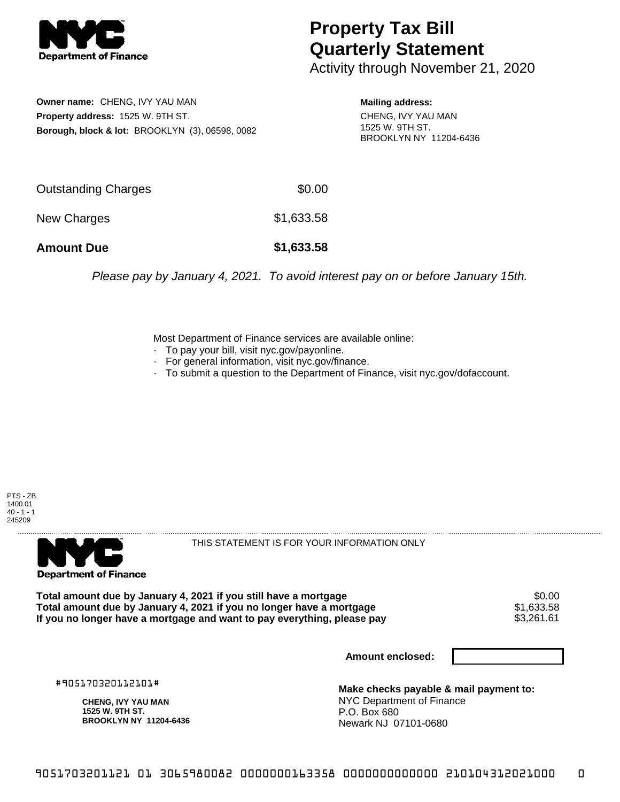

## **Property Tax Bill Quarterly Statement**

Activity through November 21, 2020

**Owner name:** CHENG, IVY YAU MAN **Property address:** 1525 W. 9TH ST. **Borough, block & lot:** BROOKLYN (3), 06598, 0082

**Mailing address:** CHENG, IVY YAU MAN 1525 W. 9TH ST. BROOKLYN NY 11204-6436

| <b>Amount Due</b>   | \$1,633.58 |
|---------------------|------------|
| New Charges         | \$1,633.58 |
| Outstanding Charges | \$0.00     |

Please pay by January 4, 2021. To avoid interest pay on or before January 15th.

Most Department of Finance services are available online:

- · To pay your bill, visit nyc.gov/payonline.
- For general information, visit nyc.gov/finance.
- · To submit a question to the Department of Finance, visit nyc.gov/dofaccount.





THIS STATEMENT IS FOR YOUR INFORMATION ONLY

Total amount due by January 4, 2021 if you still have a mortgage \$0.00<br>Total amount due by January 4, 2021 if you no longer have a mortgage \$1.633.58 **Total amount due by January 4, 2021 if you no longer have a mortgage**  $$1,633.58$ **<br>If you no longer have a mortgage and want to pay everything, please pay**  $$3,261.61$ If you no longer have a mortgage and want to pay everything, please pay

**Amount enclosed:**

#905170320112101#

**CHENG, IVY YAU MAN 1525 W. 9TH ST. BROOKLYN NY 11204-6436**

**Make checks payable & mail payment to:** NYC Department of Finance P.O. Box 680 Newark NJ 07101-0680